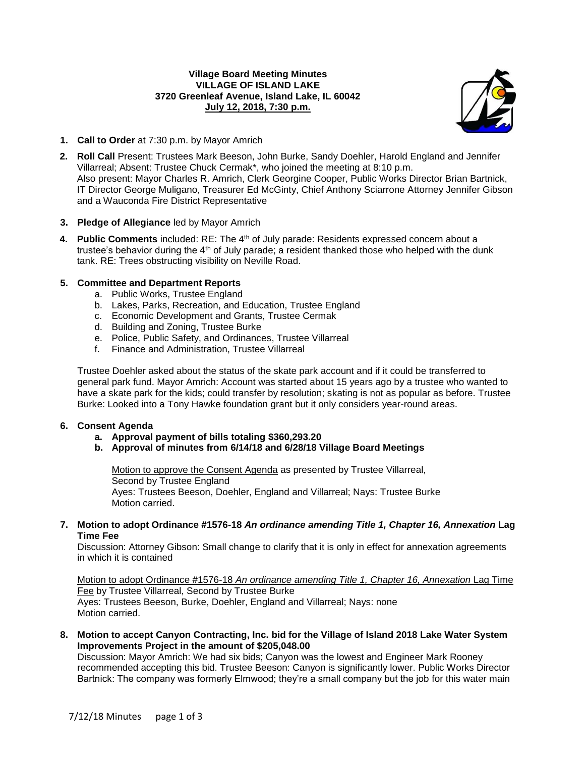### **Village Board Meeting Minutes VILLAGE OF ISLAND LAKE 3720 Greenleaf Avenue, Island Lake, IL 60042 July 12, 2018, 7:30 p.m.**



- **1. Call to Order** at 7:30 p.m. by Mayor Amrich
- **2. Roll Call** Present: Trustees Mark Beeson, John Burke, Sandy Doehler, Harold England and Jennifer Villarreal; Absent: Trustee Chuck Cermak\*, who joined the meeting at 8:10 p.m. Also present: Mayor Charles R. Amrich, Clerk Georgine Cooper, Public Works Director Brian Bartnick, IT Director George Muligano, Treasurer Ed McGinty, Chief Anthony Sciarrone Attorney Jennifer Gibson and a Wauconda Fire District Representative

# **3. Pledge of Allegiance** led by Mayor Amrich

**4. Public Comments** included: RE: The 4<sup>th</sup> of July parade: Residents expressed concern about a trustee's behavior during the 4<sup>th</sup> of July parade; a resident thanked those who helped with the dunk tank. RE: Trees obstructing visibility on Neville Road.

# **5. Committee and Department Reports**

- a. Public Works, Trustee England
- b. Lakes, Parks, Recreation, and Education, Trustee England
- c. Economic Development and Grants, Trustee Cermak
- d. Building and Zoning, Trustee Burke
- e. Police, Public Safety, and Ordinances, Trustee Villarreal
- f. Finance and Administration, Trustee Villarreal

Trustee Doehler asked about the status of the skate park account and if it could be transferred to general park fund. Mayor Amrich: Account was started about 15 years ago by a trustee who wanted to have a skate park for the kids; could transfer by resolution; skating is not as popular as before. Trustee Burke: Looked into a Tony Hawke foundation grant but it only considers year-round areas.

### **6. Consent Agenda**

- **a. Approval payment of bills totaling \$360,293.20**
- **b. Approval of minutes from 6/14/18 and 6/28/18 Village Board Meetings**

Motion to approve the Consent Agenda as presented by Trustee Villarreal, Second by Trustee England Ayes: Trustees Beeson, Doehler, England and Villarreal; Nays: Trustee Burke Motion carried.

**7. Motion to adopt Ordinance #1576-18** *An ordinance amending Title 1, Chapter 16, Annexation* **Lag Time Fee**

Discussion: Attorney Gibson: Small change to clarify that it is only in effect for annexation agreements in which it is contained

Motion to adopt Ordinance #1576-18 *An ordinance amending Title 1, Chapter 16, Annexation* Lag Time Fee by Trustee Villarreal, Second by Trustee Burke Ayes: Trustees Beeson, Burke, Doehler, England and Villarreal; Nays: none Motion carried.

**8. Motion to accept Canyon Contracting, Inc. bid for the Village of Island 2018 Lake Water System Improvements Project in the amount of \$205,048.00**

Discussion: Mayor Amrich: We had six bids; Canyon was the lowest and Engineer Mark Rooney recommended accepting this bid. Trustee Beeson: Canyon is significantly lower. Public Works Director Bartnick: The company was formerly Elmwood; they're a small company but the job for this water main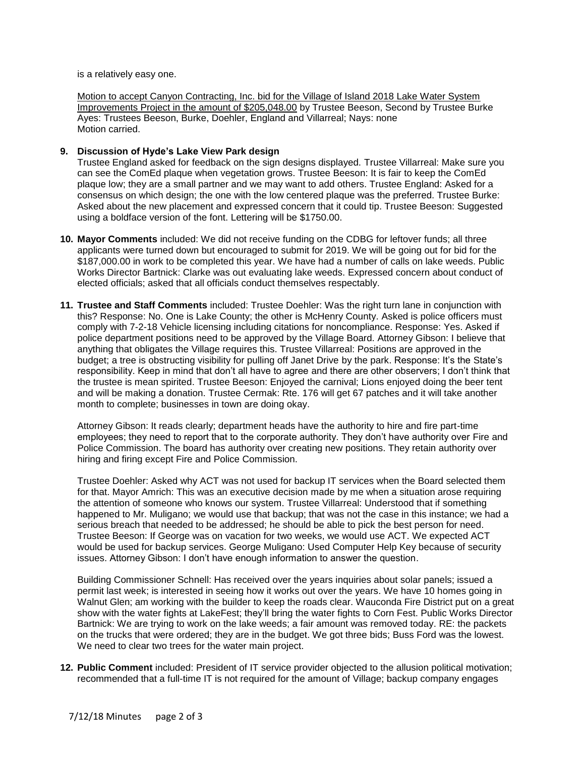is a relatively easy one.

Motion to accept Canyon Contracting, Inc. bid for the Village of Island 2018 Lake Water System Improvements Project in the amount of \$205,048.00 by Trustee Beeson, Second by Trustee Burke Ayes: Trustees Beeson, Burke, Doehler, England and Villarreal; Nays: none Motion carried.

#### **9. Discussion of Hyde's Lake View Park design**

Trustee England asked for feedback on the sign designs displayed. Trustee Villarreal: Make sure you can see the ComEd plaque when vegetation grows. Trustee Beeson: It is fair to keep the ComEd plaque low; they are a small partner and we may want to add others. Trustee England: Asked for a consensus on which design; the one with the low centered plaque was the preferred. Trustee Burke: Asked about the new placement and expressed concern that it could tip. Trustee Beeson: Suggested using a boldface version of the font. Lettering will be \$1750.00.

- **10. Mayor Comments** included: We did not receive funding on the CDBG for leftover funds; all three applicants were turned down but encouraged to submit for 2019. We will be going out for bid for the \$187,000.00 in work to be completed this year. We have had a number of calls on lake weeds. Public Works Director Bartnick: Clarke was out evaluating lake weeds. Expressed concern about conduct of elected officials; asked that all officials conduct themselves respectably.
- **11. Trustee and Staff Comments** included: Trustee Doehler: Was the right turn lane in conjunction with this? Response: No. One is Lake County; the other is McHenry County. Asked is police officers must comply with 7-2-18 Vehicle licensing including citations for noncompliance. Response: Yes. Asked if police department positions need to be approved by the Village Board. Attorney Gibson: I believe that anything that obligates the Village requires this. Trustee Villarreal: Positions are approved in the budget; a tree is obstructing visibility for pulling off Janet Drive by the park. Response: It's the State's responsibility. Keep in mind that don't all have to agree and there are other observers; I don't think that the trustee is mean spirited. Trustee Beeson: Enjoyed the carnival; Lions enjoyed doing the beer tent and will be making a donation. Trustee Cermak: Rte. 176 will get 67 patches and it will take another month to complete; businesses in town are doing okay.

Attorney Gibson: It reads clearly; department heads have the authority to hire and fire part-time employees; they need to report that to the corporate authority. They don't have authority over Fire and Police Commission. The board has authority over creating new positions. They retain authority over hiring and firing except Fire and Police Commission.

Trustee Doehler: Asked why ACT was not used for backup IT services when the Board selected them for that. Mayor Amrich: This was an executive decision made by me when a situation arose requiring the attention of someone who knows our system. Trustee Villarreal: Understood that if something happened to Mr. Muligano; we would use that backup; that was not the case in this instance; we had a serious breach that needed to be addressed; he should be able to pick the best person for need. Trustee Beeson: If George was on vacation for two weeks, we would use ACT. We expected ACT would be used for backup services. George Muligano: Used Computer Help Key because of security issues. Attorney Gibson: I don't have enough information to answer the question.

Building Commissioner Schnell: Has received over the years inquiries about solar panels; issued a permit last week; is interested in seeing how it works out over the years. We have 10 homes going in Walnut Glen; am working with the builder to keep the roads clear. Wauconda Fire District put on a great show with the water fights at LakeFest; they'll bring the water fights to Corn Fest. Public Works Director Bartnick: We are trying to work on the lake weeds; a fair amount was removed today. RE: the packets on the trucks that were ordered; they are in the budget. We got three bids; Buss Ford was the lowest. We need to clear two trees for the water main project.

**12. Public Comment** included: President of IT service provider objected to the allusion political motivation; recommended that a full-time IT is not required for the amount of Village; backup company engages